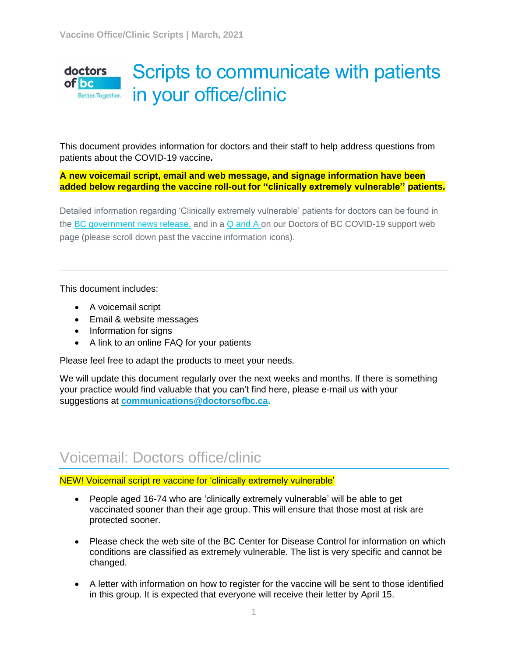#### Scripts to communicate with patients doctors  $of$  bc in your office/clinic Better. Together.

This document provides information for doctors and their staff to help address questions from patients about the COVID-19 vaccine**.** 

**A new voicemail script, email and web message, and signage information have been added below regarding the vaccine roll-out for ''clinically extremely vulnerable'' patients.**

Detailed information regarding 'Clinically extremely vulnerable' patients for doctors can be found in the [BC government news release,](https://doctorsofbc-communicationsdept.cmail19.com/t/t-l-mtukltt-wkultntt-j/) and in a [Q and A o](https://doctorsofbc-communicationsdept.cmail19.com/t/t-l-mtukltt-wkultntt-t/)n our Doctors of BC COVID-19 support web page (please scroll down past the vaccine information icons).

This document includes:

- A voicemail script
- Email & website messages
- Information for signs
- A link to an online FAQ for your patients

Please feel free to adapt the products to meet your needs.

We will update this document regularly over the next weeks and months. If there is something your practice would find valuable that you can't find here, please e-mail us with your suggestions at **[communications@doctorsofbc.ca.](mailto:communications@doctorsofbc.ca)**

## Voicemail: Doctors office/clinic

NEW! Voicemail script re vaccine for 'clinically extremely vulnerable'

- People aged 16-74 who are 'clinically extremely vulnerable' will be able to get vaccinated sooner than their age group. This will ensure that those most at risk are protected sooner.
- Please check the web site of the BC Center for Disease Control for information on which conditions are classified as extremely vulnerable. The list is very specific and cannot be changed.
- A letter with information on how to register for the vaccine will be sent to those identified in this group. It is expected that everyone will receive their letter by April 15.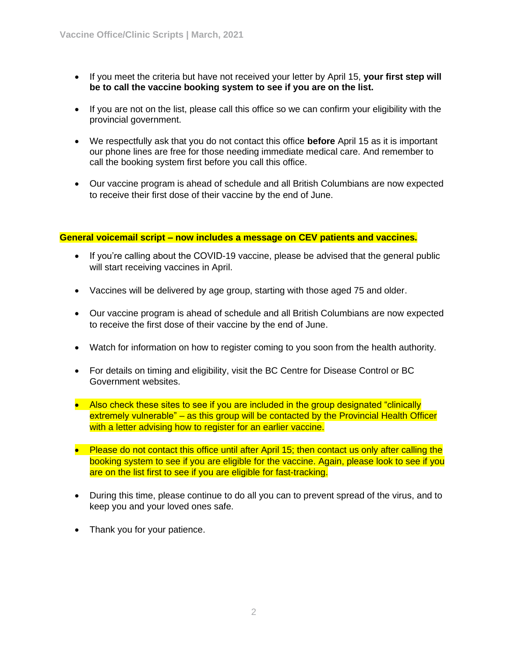- If you meet the criteria but have not received your letter by April 15, **your first step will be to call the vaccine booking system to see if you are on the list.**
- If you are not on the list, please call this office so we can confirm your eligibility with the provincial government.
- We respectfully ask that you do not contact this office **before** April 15 as it is important our phone lines are free for those needing immediate medical care. And remember to call the booking system first before you call this office.
- Our vaccine program is ahead of schedule and all British Columbians are now expected to receive their first dose of their vaccine by the end of June.

#### **General voicemail script – now includes a message on CEV patients and vaccines.**

- If you're calling about the COVID-19 vaccine, please be advised that the general public will start receiving vaccines in April.
- Vaccines will be delivered by age group, starting with those aged 75 and older.
- Our vaccine program is ahead of schedule and all British Columbians are now expected to receive the first dose of their vaccine by the end of June.
- Watch for information on how to register coming to you soon from the health authority.
- For details on timing and eligibility, visit the BC Centre for Disease Control or BC Government websites.
- Also check these sites to see if you are included in the group designated "clinically" extremely vulnerable" – as this group will be contacted by the Provincial Health Officer with a letter advising how to register for an earlier vaccine.
- Please do not contact this office until after April 15; then contact us only after calling the booking system to see if you are eligible for the vaccine. Again, please look to see if you are on the list first to see if you are eligible for fast-tracking.
- During this time, please continue to do all you can to prevent spread of the virus, and to keep you and your loved ones safe.
- Thank you for your patience.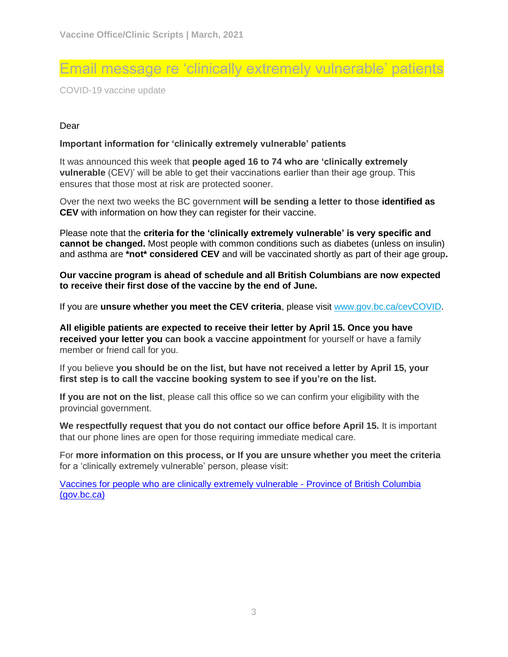### Email message re 'clinically extremely vulnerable' patients

COVID-19 vaccine update

#### Dear

#### **Important information for 'clinically extremely vulnerable' patients**

It was announced this week that **people aged 16 to 74 who are 'clinically extremely vulnerable** (CEV)' will be able to get their vaccinations earlier than their age group. This ensures that those most at risk are protected sooner.

Over the next two weeks the BC government **will be sending a letter to those identified as CEV** with information on how they can register for their vaccine.

Please note that the **criteria for the 'clinically extremely vulnerable' is very specific and cannot be changed.** Most people with common conditions such as diabetes (unless on insulin) and asthma are **\*not\* considered CEV** and will be vaccinated shortly as part of their age group**.**

#### **Our vaccine program is ahead of schedule and all British Columbians are now expected to receive their first dose of the vaccine by the end of June.**

If you are **unsure whether you meet the CEV criteria**, please visit [www.gov.bc.ca/cevCOVID.](http://www.gov.bc.ca/cevCOVID)

**All eligible patients are expected to receive their letter by April 15. Once you have received your letter you can book a vaccine appointment** for yourself or have a family member or friend call for you.

If you believe **you should be on the list, but have not received a letter by April 15, your first step is to call the vaccine booking system to see if you're on the list.** 

**If you are not on the list**, please call this office so we can confirm your eligibility with the provincial government.

**We respectfully request that you do not contact our office before April 15.** It is important that our phone lines are open for those requiring immediate medical care.

For **more information on this process, or If you are unsure whether you meet the criteria** for a 'clinically extremely vulnerable' person, please visit:

[Vaccines for people who are clinically extremely vulnerable -](https://www2.gov.bc.ca/gov/content/covid-19/vaccine/cev) Province of British Columbia [\(gov.bc.ca\)](https://www2.gov.bc.ca/gov/content/covid-19/vaccine/cev)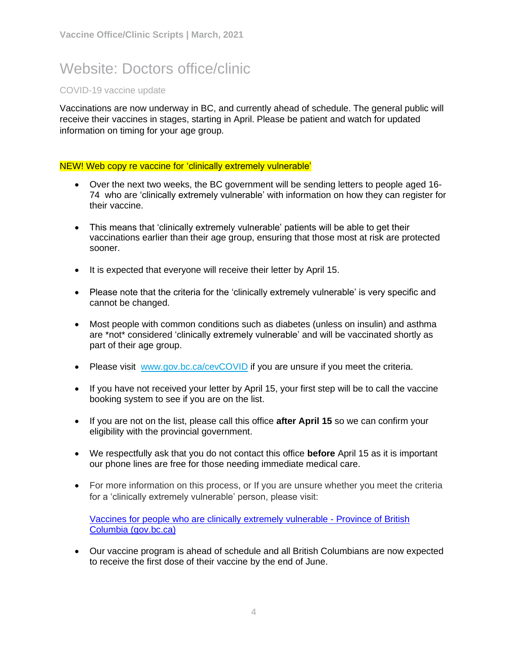## Website: Doctors office/clinic

#### COVID-19 vaccine update

Vaccinations are now underway in BC, and currently ahead of schedule. The general public will receive their vaccines in stages, starting in April. Please be patient and watch for updated information on timing for your age group.

#### NEW! Web copy re vaccine for 'clinically extremely vulnerable'

- Over the next two weeks, the BC government will be sending letters to people aged 16- 74 who are 'clinically extremely vulnerable' with information on how they can register for their vaccine.
- This means that 'clinically extremely vulnerable' patients will be able to get their vaccinations earlier than their age group, ensuring that those most at risk are protected sooner.
- It is expected that everyone will receive their letter by April 15.
- Please note that the criteria for the 'clinically extremely vulnerable' is very specific and cannot be changed.
- Most people with common conditions such as diabetes (unless on insulin) and asthma are \*not\* considered 'clinically extremely vulnerable' and will be vaccinated shortly as part of their age group.
- Please visit [www.gov.bc.ca/cevCOVID](http://www.gov.bc.ca/cevCOVID) if you are unsure if you meet the criteria.
- If you have not received your letter by April 15, your first step will be to call the vaccine booking system to see if you are on the list.
- If you are not on the list, please call this office **after April 15** so we can confirm your eligibility with the provincial government.
- We respectfully ask that you do not contact this office **before** April 15 as it is important our phone lines are free for those needing immediate medical care.
- For more information on this process, or If you are unsure whether you meet the criteria for a 'clinically extremely vulnerable' person, please visit:

[Vaccines for people who are clinically extremely vulnerable -](https://www2.gov.bc.ca/gov/content/covid-19/vaccine/cev) Province of British [Columbia \(gov.bc.ca\)](https://www2.gov.bc.ca/gov/content/covid-19/vaccine/cev)

• Our vaccine program is ahead of schedule and all British Columbians are now expected to receive the first dose of their vaccine by the end of June.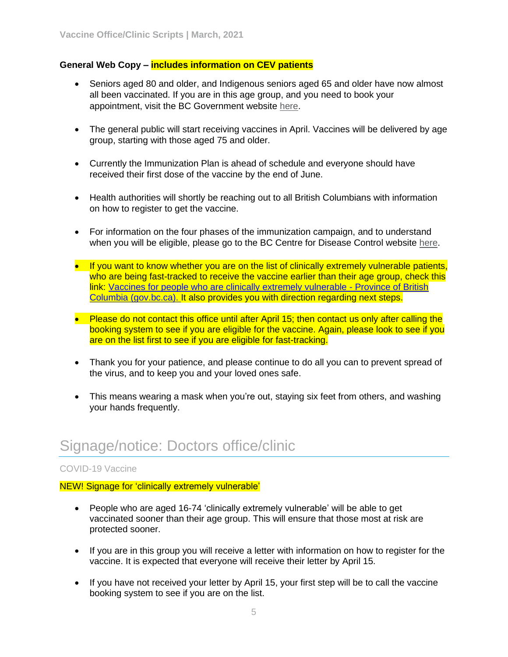#### **General Web Copy – includes information on CEV patients**

- Seniors aged 80 and older, and Indigenous seniors aged 65 and older have now almost all been vaccinated. If you are in this age group, and you need to book your appointment, visit the BC Government website [here.](https://www2.gov.bc.ca/gov/content/covid-19/vaccine/seniors)
- The general public will start receiving vaccines in April. Vaccines will be delivered by age group, starting with those aged 75 and older.
- Currently the Immunization Plan is ahead of schedule and everyone should have received their first dose of the vaccine by the end of June.
- Health authorities will shortly be reaching out to all British Columbians with information on how to register to get the vaccine.
- For information on the four phases of the immunization campaign, and to understand when you will be eligible, please go to the BC Centre for Disease Control website [here.](https://news.gov.bc.ca/releases/2021PREM0005-000119)
- If you want to know whether you are on the list of clinically extremely vulnerable patients, who are being fast-tracked to receive the vaccine earlier than their age group, check this link: [Vaccines for people who are clinically extremely vulnerable -](https://www2.gov.bc.ca/gov/content/covid-19/vaccine/cev) Province of British [Columbia \(gov.bc.ca\).](https://www2.gov.bc.ca/gov/content/covid-19/vaccine/cev) It also provides you with direction regarding next steps.
- Please do not contact this office until after April 15; then contact us only after calling the booking system to see if you are eligible for the vaccine. Again, please look to see if you are on the list first to see if you are eligible for fast-tracking.
- Thank you for your patience, and please continue to do all you can to prevent spread of the virus, and to keep you and your loved ones safe.
- This means wearing a mask when you're out, staying six feet from others, and washing your hands frequently.

## Signage/notice: Doctors office/clinic

#### COVID-19 Vaccine

#### NEW! Signage for 'clinically extremely vulnerable'

- People who are aged 16-74 'clinically extremely vulnerable' will be able to get vaccinated sooner than their age group. This will ensure that those most at risk are protected sooner.
- If you are in this group you will receive a letter with information on how to register for the vaccine. It is expected that everyone will receive their letter by April 15.
- If you have not received your letter by April 15, your first step will be to call the vaccine booking system to see if you are on the list.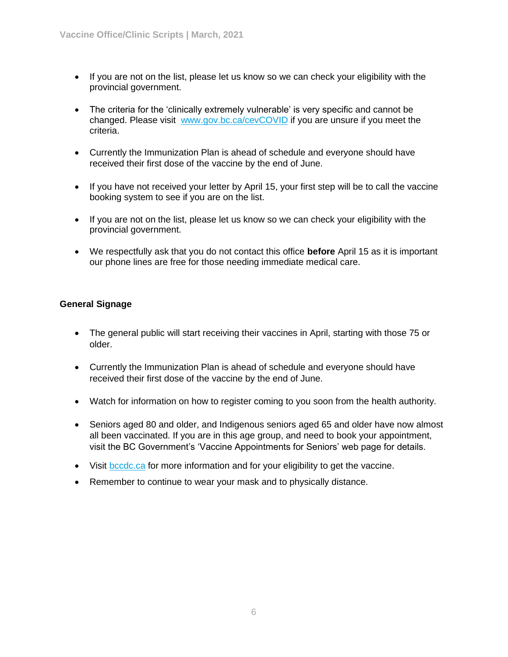- If you are not on the list, please let us know so we can check your eligibility with the provincial government.
- The criteria for the 'clinically extremely vulnerable' is very specific and cannot be changed. Please visit [www.gov.bc.ca/cevCOVID](http://www.gov.bc.ca/cevCOVID) if you are unsure if you meet the criteria.
- Currently the Immunization Plan is ahead of schedule and everyone should have received their first dose of the vaccine by the end of June.
- If you have not received your letter by April 15, your first step will be to call the vaccine booking system to see if you are on the list.
- If you are not on the list, please let us know so we can check your eligibility with the provincial government.
- We respectfully ask that you do not contact this office **before** April 15 as it is important our phone lines are free for those needing immediate medical care.

#### **General Signage**

- The general public will start receiving their vaccines in April, starting with those 75 or older.
- Currently the Immunization Plan is ahead of schedule and everyone should have received their first dose of the vaccine by the end of June.
- Watch for information on how to register coming to you soon from the health authority.
- Seniors aged 80 and older, and Indigenous seniors aged 65 and older have now almost all been vaccinated. If you are in this age group, and need to book your appointment, visit the BC Government's 'Vaccine Appointments for Seniors' web page for details.
- Visit [bccdc.ca](http://www.bccdc.ca/) for more information and for your eligibility to get the vaccine.
- Remember to continue to wear your mask and to physically distance.